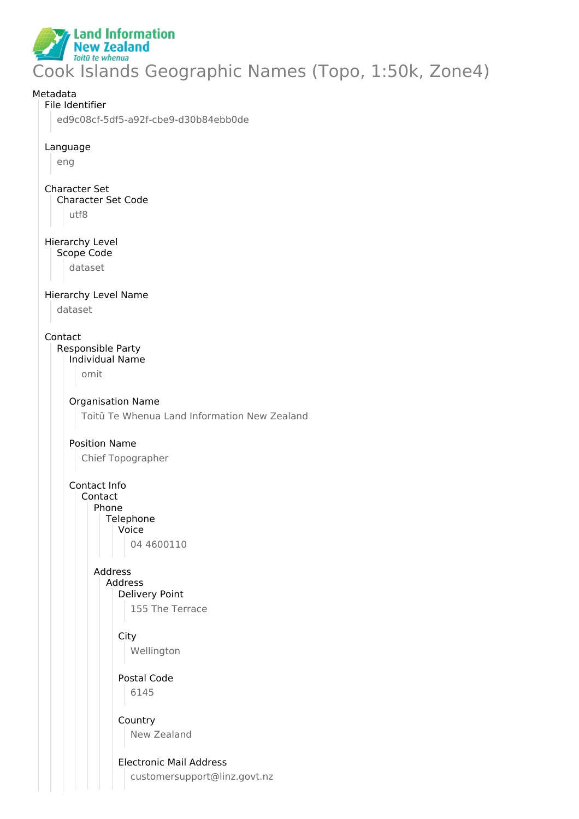

# Cook Islands Geographic Names (Topo, 1:50k, Zone4)

## Metadata File Identifier ed9c08cf-5df5-a92f-cbe9-d30b84ebb0de Language eng Character Set Character Set Code utf8 Hierarchy Level Scope Code dataset Hierarchy Level Name dataset Contact Responsible Party Individual Name omit Organisation Name Toitū Te Whenua Land Information New Zealand Position Name Chief Topographer Contact Info Contact Phone **Telephone** Voice 04 4600110 Address Address Delivery Point 155 The Terrace **City** Wellington Postal Code 6145 Country New Zealand Electronic Mail Address customersupport@linz.govt.nz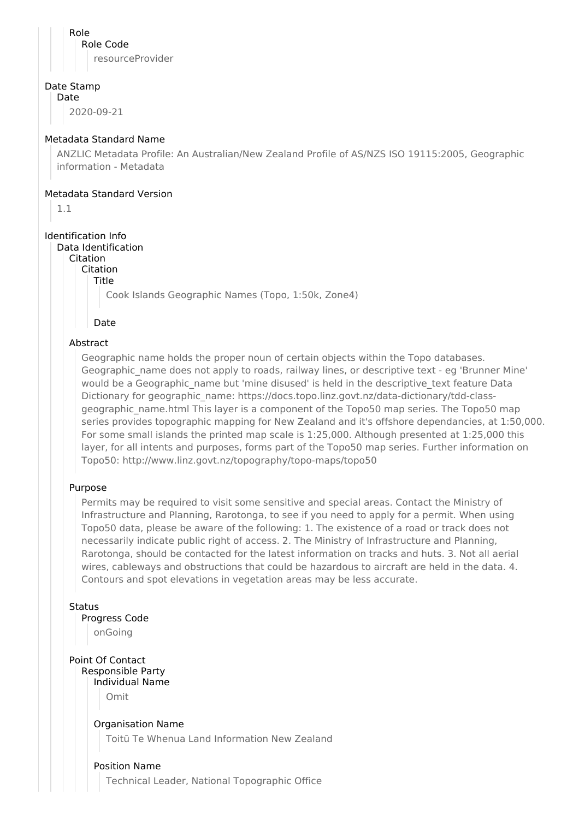Role Role Code resourceProvider

#### Date Stamp

Date

2020-09-21

#### Metadata Standard Name

ANZLIC Metadata Profile: An Australian/New Zealand Profile of AS/NZS ISO 19115:2005, Geographic information - Metadata

#### Metadata Standard Version

1.1

#### Identification Info

#### Data Identification

Citation

Citation

Title

Cook Islands Geographic Names (Topo, 1:50k, Zone4)

Date

#### Abstract

Geographic name holds the proper noun of certain objects within the Topo databases. Geographic name does not apply to roads, railway lines, or descriptive text - eg 'Brunner Mine' would be a Geographic name but 'mine disused' is held in the descriptive text feature Data Dictionary for geographic\_name: https://docs.topo.linz.govt.nz/data-dictionary/tdd-classgeographic name.html This layer is a component of the Topo50 map series. The Topo50 map series provides topographic mapping for New Zealand and it's offshore dependancies, at 1:50,000. For some small islands the printed map scale is 1:25,000. Although presented at 1:25,000 this layer, for all intents and purposes, forms part of the Topo50 map series. Further information on Topo50: http://www.linz.govt.nz/topography/topo-maps/topo50

#### Purpose

Permits may be required to visit some sensitive and special areas. Contact the Ministry of Infrastructure and Planning, Rarotonga, to see if you need to apply for a permit. When using Topo50 data, please be aware of the following: 1. The existence of a road or track does not necessarily indicate public right of access. 2. The Ministry of Infrastructure and Planning, Rarotonga, should be contacted for the latest information on tracks and huts. 3. Not all aerial wires, cableways and obstructions that could be hazardous to aircraft are held in the data. 4. Contours and spot elevations in vegetation areas may be less accurate.

**Status** 

Progress Code

onGoing

Point Of Contact Responsible Party Individual Name

Omit

Organisation Name

Toitū Te Whenua Land Information New Zealand

#### Position Name

Technical Leader, National Topographic Office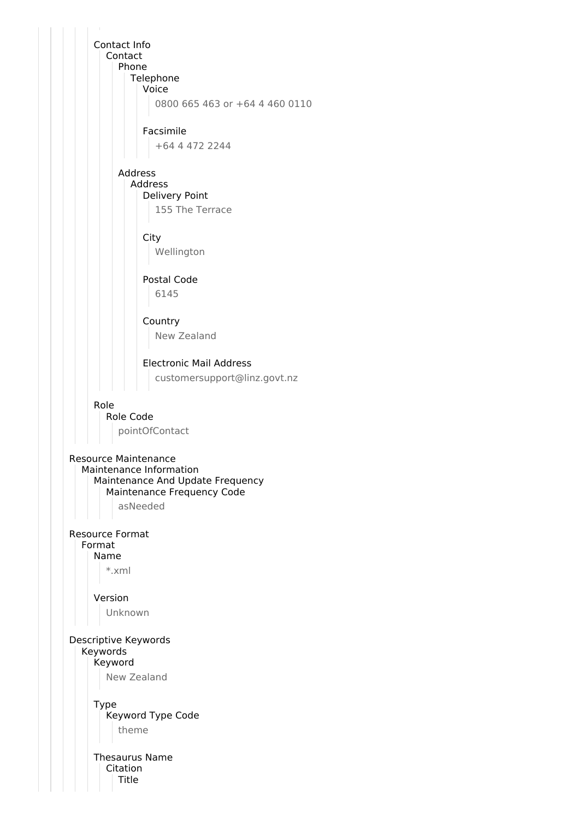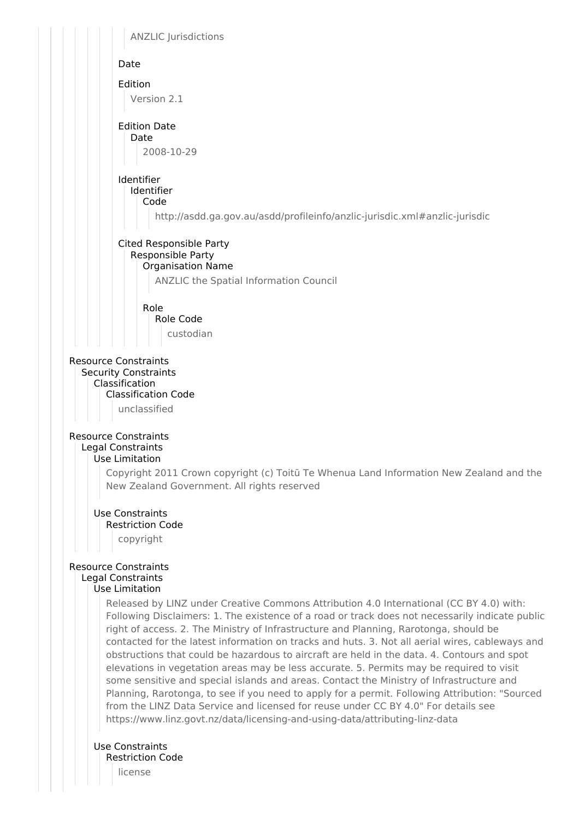

license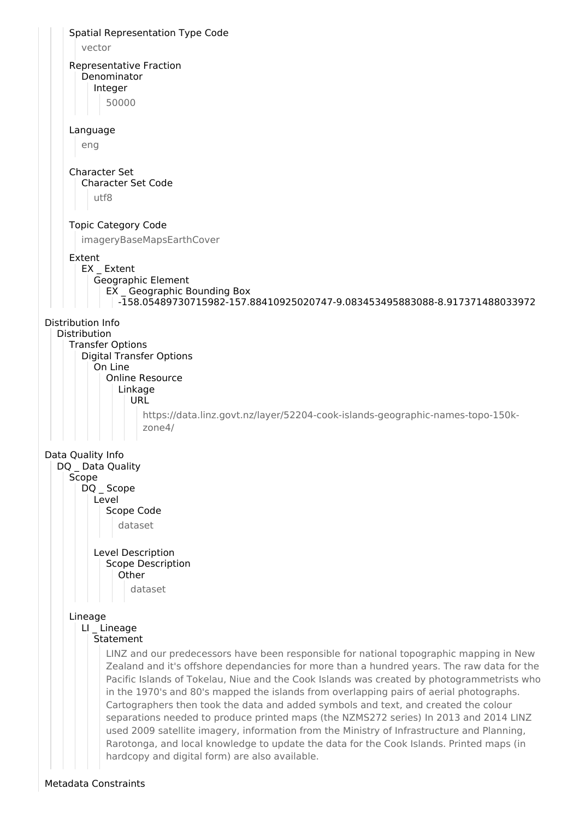